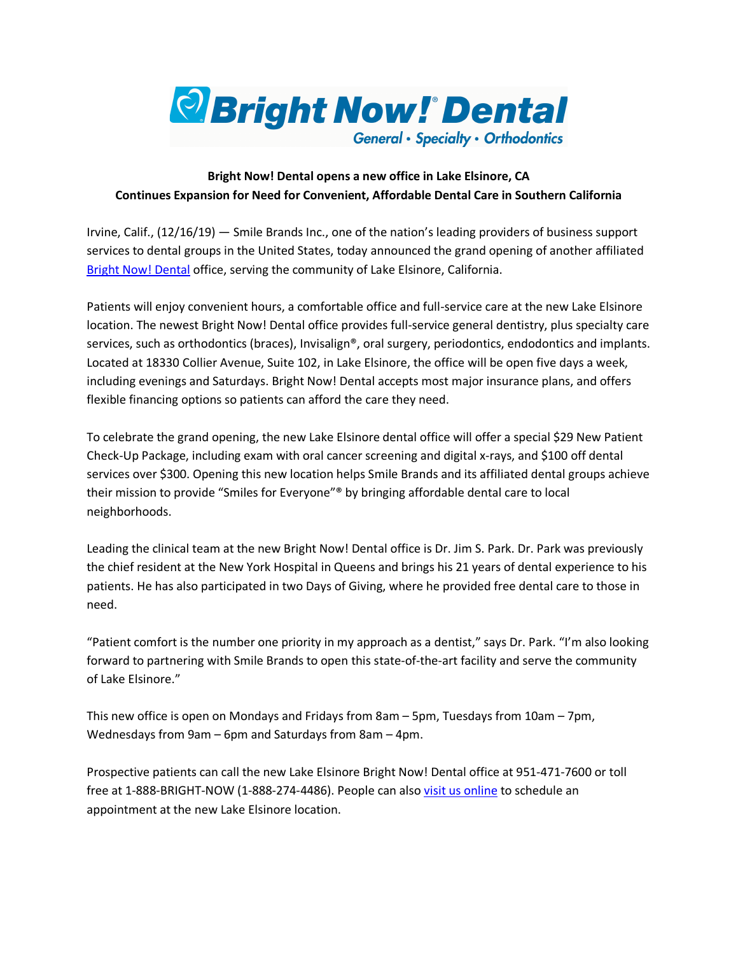

## **Bright Now! Dental opens a new office in Lake Elsinore, CA Continues Expansion for Need for Convenient, Affordable Dental Care in Southern California**

Irvine, Calif., (12/16/19) — Smile Brands Inc., one of the nation's leading providers of business support services to dental groups in the United States, today announced the grand opening of another affiliated Bright Now! Dental office, serving the community of Lake Elsinore, California.

Patients will enjoy convenient hours, a comfortable office and full-service care at the new Lake Elsinore location. The newest Bright Now! Dental office provides full-service general dentistry, plus specialty care services, such as orthodontics (braces), Invisalign®, oral surgery, periodontics, endodontics and implants. Located at 18330 Collier Avenue, Suite 102, in Lake Elsinore, the office will be open five days a week, including evenings and Saturdays. Bright Now! Dental accepts most major insurance plans, and offers flexible financing options so patients can afford the care they need.

To celebrate the grand opening, the new Lake Elsinore dental office will offer a special \$29 New Patient Check-Up Package, including exam with oral cancer screening and digital x-rays, and \$100 off dental services over \$300. Opening this new location helps Smile Brands and its affiliated dental groups achieve their mission to provide "Smiles for Everyone"® by bringing affordable dental care to local neighborhoods.

Leading the clinical team at the new Bright Now! Dental office is Dr. Jim S. Park. Dr. Park was previously the chief resident at the New York Hospital in Queens and brings his 21 years of dental experience to his patients. He has also participated in two Days of Giving, where he provided free dental care to those in need.

"Patient comfort is the number one priority in my approach as a dentist," says Dr. Park. "I'm also looking forward to partnering with Smile Brands to open this state-of-the-art facility and serve the community of Lake Elsinore."

This new office is open on Mondays and Fridays from 8am – 5pm, Tuesdays from 10am – 7pm, Wednesdays from 9am – 6pm and Saturdays from 8am – 4pm.

Prospective patients can call the new Lake Elsinore Bright Now! Dental office at 951-471-7600 or toll free at 1-888-BRIGHT-NOW (1-888-274-4486). People can also visit us online to schedule an appointment at the new Lake Elsinore location.